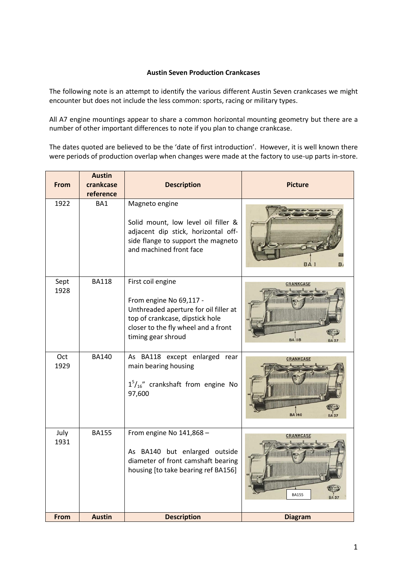## **Austin Seven Production Crankcases**

The following note is an attempt to identify the various different Austin Seven crankcases we might encounter but does not include the less common: sports, racing or military types.

All A7 engine mountings appear to share a common horizontal mounting geometry but there are a number of other important differences to note if you plan to change crankcase.

The dates quoted are believed to be the 'date of first introduction'. However, it is well known there were periods of production overlap when changes were made at the factory to use-up parts in-store.

| From         | <b>Austin</b><br>crankcase<br>reference | <b>Description</b>                                                                                                                                                                    | <b>Picture</b>                    |
|--------------|-----------------------------------------|---------------------------------------------------------------------------------------------------------------------------------------------------------------------------------------|-----------------------------------|
| 1922         | BA1                                     | Magneto engine<br>Solid mount, low level oil filler &<br>adjacent dip stick, horizontal off-<br>side flange to support the magneto<br>and machined front face                         | ΒA                                |
| Sept<br>1928 | <b>BA118</b>                            | First coil engine<br>From engine No 69,117 -<br>Unthreaded aperture for oil filler at<br>top of crankcase, dipstick hole<br>closer to the fly wheel and a front<br>timing gear shroud | <b>CRANKCASE</b><br><b>BA 118</b> |
| Oct<br>1929  | <b>BA140</b>                            | As BA118 except enlarged rear<br>main bearing housing<br>$15/16''$ crankshaft from engine No<br>97,600                                                                                | <b>CRANKCASE</b><br><b>BA</b> 140 |
| July<br>1931 | <b>BA155</b>                            | From engine No 141,868 -<br>As BA140 but enlarged outside<br>diameter of front camshaft bearing<br>housing [to take bearing ref BA156]                                                | <b>CRANKCASE</b><br><b>BA155</b>  |
| From         | <b>Austin</b>                           | <b>Description</b>                                                                                                                                                                    | <b>Diagram</b>                    |